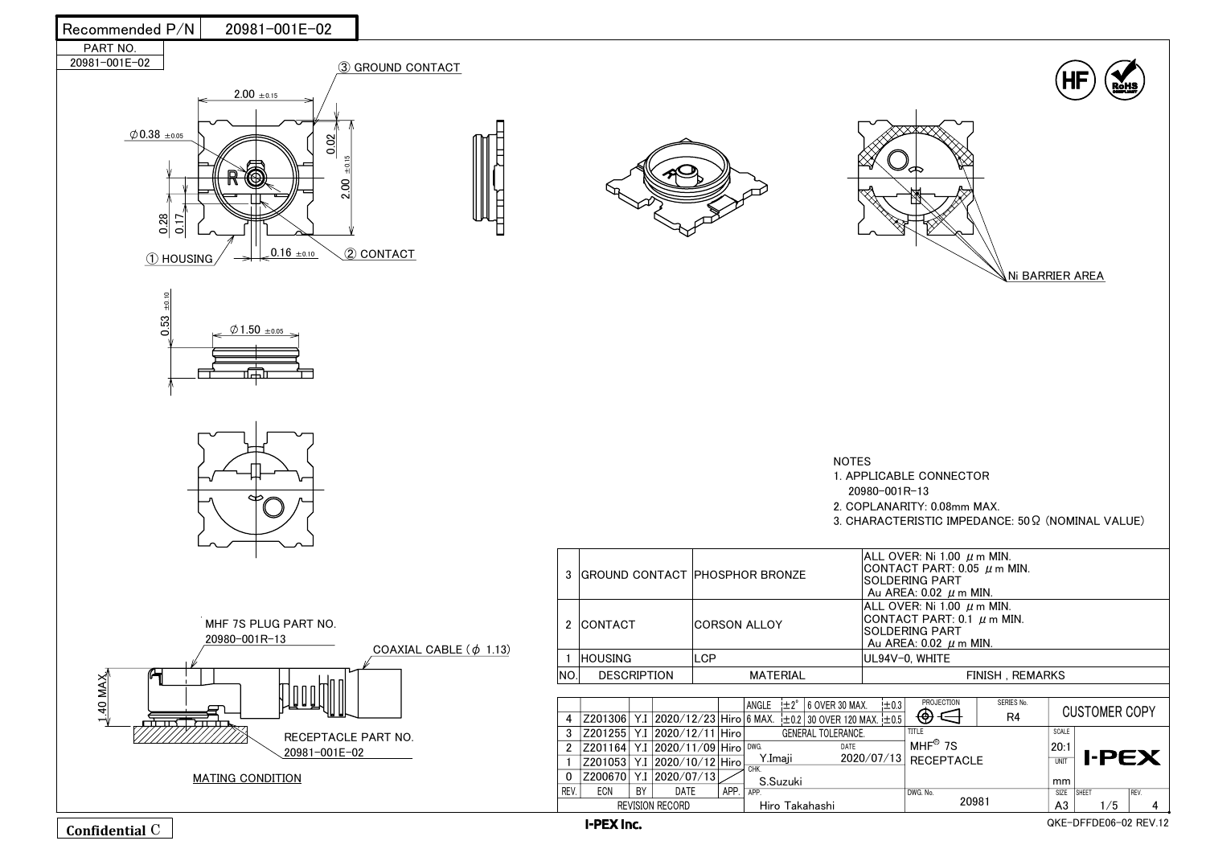I-PEX Inc.

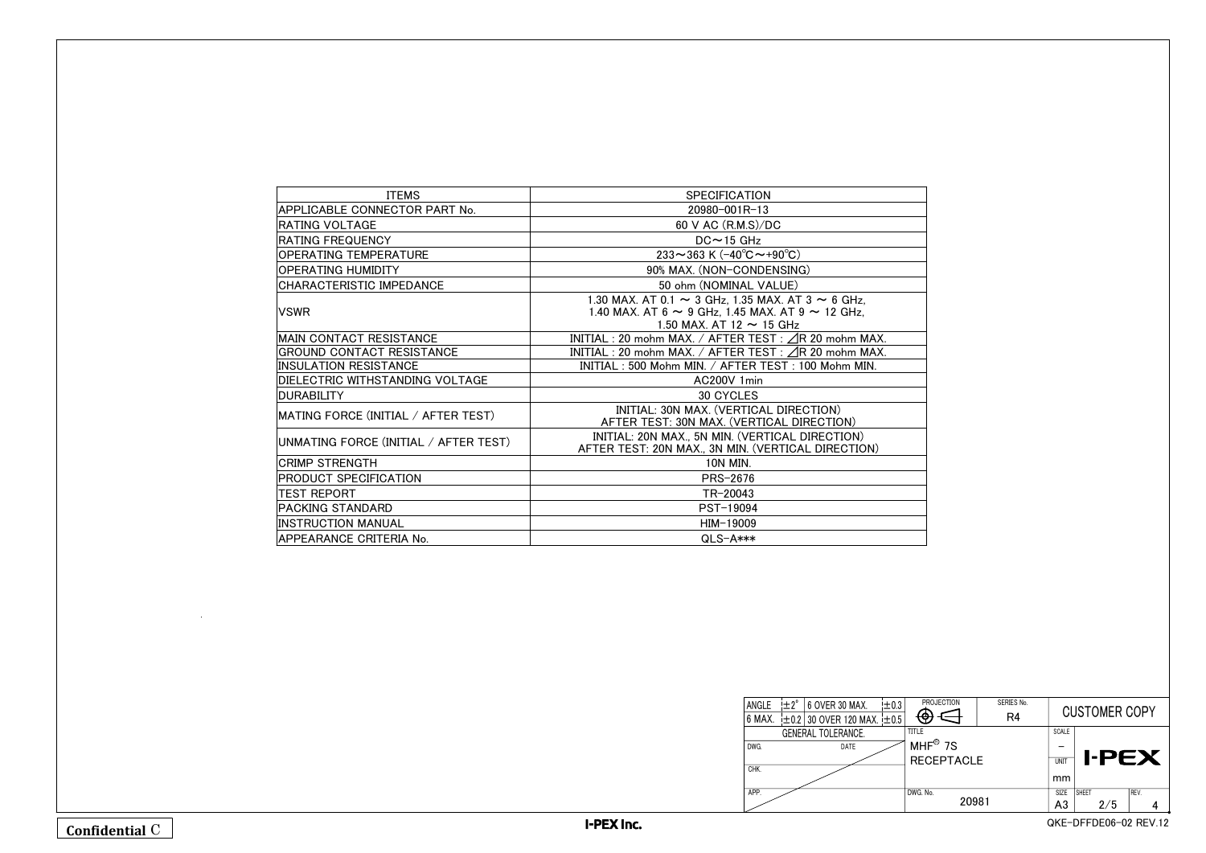| <b>ITEMS</b>                          | <b>SPECIFICATION</b>                                                                                                                                       |
|---------------------------------------|------------------------------------------------------------------------------------------------------------------------------------------------------------|
| APPLICABLE CONNECTOR PART No.         | 20980-001R-13                                                                                                                                              |
| IRATING VOLTAGE                       | 60 V AC (R.M.S)/DC                                                                                                                                         |
| <b>RATING FREQUENCY</b>               | $DC \sim 15$ GHz                                                                                                                                           |
| <b>OPERATING TEMPERATURE</b>          | 233~363 K (-40°C~+90°C)                                                                                                                                    |
| OPERATING HUMIDITY                    | 90% MAX. (NON-CONDENSING)                                                                                                                                  |
| CHARACTERISTIC IMPEDANCE              | 50 ohm (NOMINAL VALUE)                                                                                                                                     |
| <b>VSWR</b>                           | 1.30 MAX. AT 0.1 $\sim$ 3 GHz, 1.35 MAX. AT 3 $\sim$ 6 GHz,<br>1.40 MAX. AT 6 $\sim$ 9 GHz, 1.45 MAX. AT 9 $\sim$ 12 GHz,<br>1.50 MAX. AT 12 $\sim$ 15 GHz |
| <b>IMAIN CONTACT RESISTANCE</b>       | INITIAL : 20 mohm MAX. / AFTER TEST : $\triangle$ R 20 mohm MAX.                                                                                           |
| GROUND CONTACT RESISTANCE             | INITIAL : 20 mohm MAX. / AFTER TEST : $\angle$ R 20 mohm MAX.                                                                                              |
| <b>INSULATION RESISTANCE</b>          | INITIAL: 500 Mohm MIN. / AFTER TEST: 100 Mohm MIN.                                                                                                         |
| DIELECTRIC WITHSTANDING VOLTAGE       | AC200V 1min                                                                                                                                                |
| <b>IDURABILITY</b>                    | <b>30 CYCLES</b>                                                                                                                                           |
| MATING FORCE (INITIAL / AFTER TEST)   | INITIAL: 30N MAX. (VERTICAL DIRECTION)<br>AFTER TEST: 30N MAX. (VERTICAL DIRECTION)                                                                        |
| UNMATING FORCE (INITIAL / AFTER TEST) | INITIAL: 20N MAX., 5N MIN. (VERTICAL DIRECTION)<br>AFTER TEST: 20N MAX., 3N MIN. (VERTICAL DIRECTION)                                                      |
| <b>ICRIMP STRENGTH</b>                | <b>10N MIN.</b>                                                                                                                                            |
| <b>PRODUCT SPECIFICATION</b>          | <b>PRS-2676</b>                                                                                                                                            |
| <b>TEST REPORT</b>                    | TR-20043                                                                                                                                                   |
| <b>PACKING STANDARD</b>               | PST-19094                                                                                                                                                  |
| <b>INSTRUCTION MANUAL</b>             | HIM-19009                                                                                                                                                  |
| APPEARANCE CRITERIA No.               | $QLS-A***$                                                                                                                                                 |

| <b>PROJECTION</b> | SERIES No.<br>R4 | <b>CUSTOMER COPY</b> |                       |      |
|-------------------|------------------|----------------------|-----------------------|------|
| <b>TITLE</b>      |                  | <b>SCALE</b>         |                       |      |
| $MHF^®$ 7S        |                  |                      |                       |      |
| <b>RECEPTACLE</b> |                  | <b>UNIT</b>          | <b>I-PEX</b>          |      |
|                   |                  | mm                   |                       |      |
| DWG. No.          |                  | <b>SIZE</b>          | <b>SHEET</b>          | REV. |
| 20981             |                  | A3                   | 2/5                   |      |
|                   |                  |                      | QKE-DFFDE06-02 REV.12 |      |



| ANGLE  | $\pm 2^{\circ}$ | 6 OVER 30 MAX.                       | ±0.3 | PRC          |
|--------|-----------------|--------------------------------------|------|--------------|
| 6 MAX. |                 | $\pm$ 0.2 30 OVER 120 MAX. $\pm$ 0.5 |      |              |
|        |                 | <b>GENERAL TOLERANCE.</b>            |      | <b>TITLE</b> |
| DWG.   |                 | DATE                                 |      | <b>MHF</b>   |
|        |                 |                                      |      | <b>REC</b>   |
| CHK.   |                 |                                      |      |              |
| APP.   |                 |                                      |      | DWG. No.     |
|        |                 |                                      |      |              |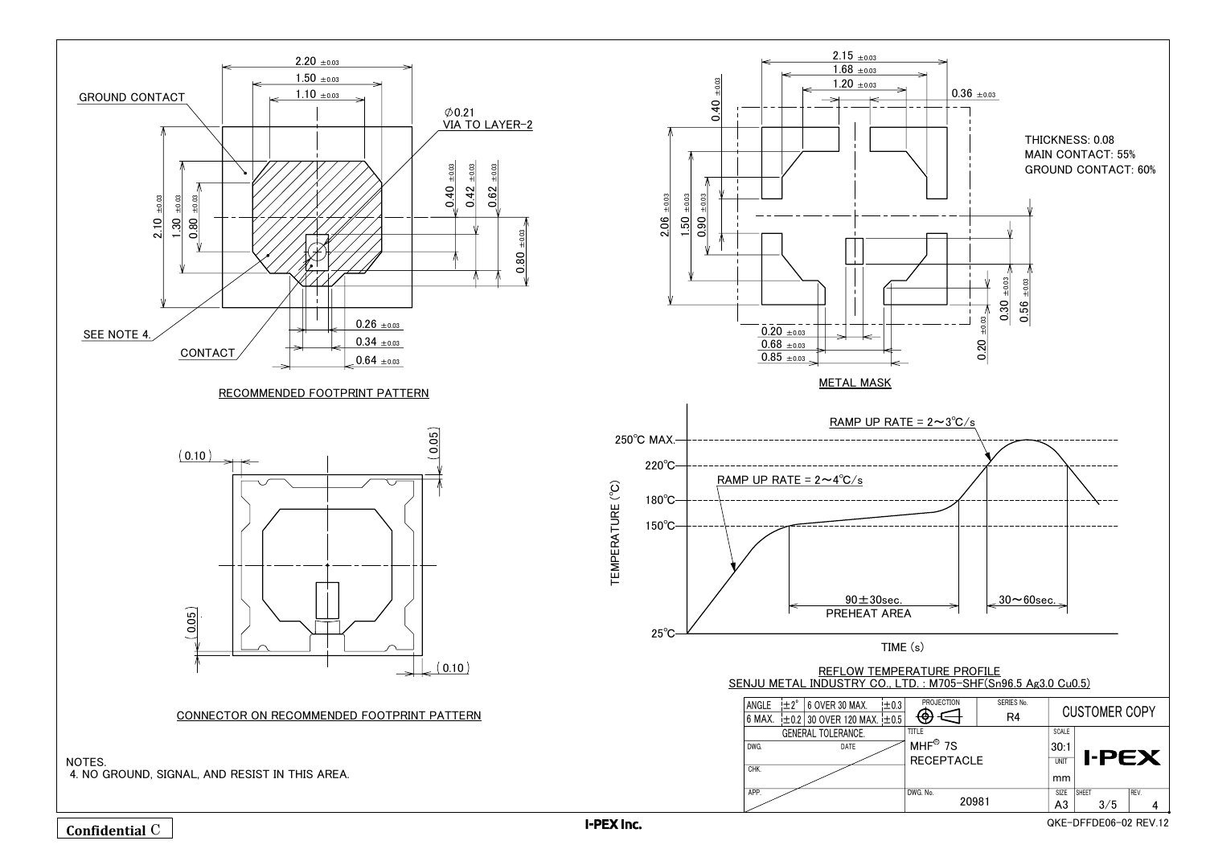I-PEX Inc.



 $1.20 \pm 0.03$  $1.68 \pm 0.03$  $2.15 \pm 0.03$ 

METAL MASK

6 MAX.  $\pm 0.2$  30 OVER 120 MAX.  $\pm 0.5$ 

GENERAL TOLERANCE.



QKE-DFFDE06-02 REV.12

DWG.

CHK.

 $\overline{0.20}$   $_{\pm 0.03}$  $\overline{0.68 \pm 0.03}$  $0.85 \pm 0.03$ 

DATE

 $\pm 0.3$ 

ANGLE  $\pm 2^{\circ}$  | 6 OVER 30 MAX.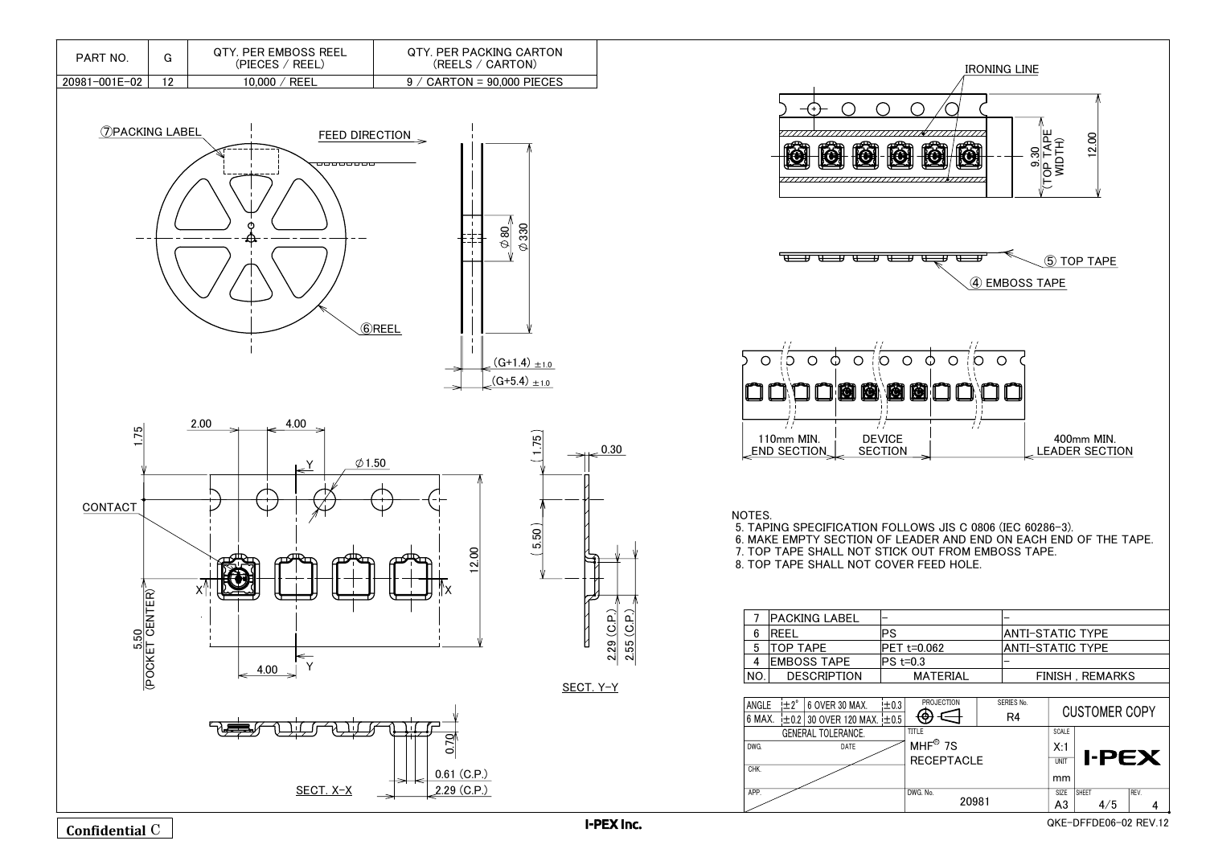I-PEX Inc.



NOTES.

|     | <b>PACKING LABEL</b> |        |
|-----|----------------------|--------|
| 6   | <b>REEL</b>          | P.S    |
| 5   | <b>TOP TAPE</b>      | IPFT   |
|     | <b>EMBOSS TAPE</b>   | IPS t= |
| NO. | <b>DESCRIPTION</b>   |        |
|     |                      |        |

| ANGLE                     | $\pm 2^{\circ}$ | 6 OVER 30 MAX.                       | ±0.3 |   |
|---------------------------|-----------------|--------------------------------------|------|---|
| 6 MAX.                    |                 | $\pm$ 0.2 30 OVER 120 MAX. $\pm$ 0.5 |      |   |
| <b>GENERAL TOLERANCE.</b> |                 |                                      |      |   |
| DWG.                      |                 | DATE                                 |      |   |
|                           |                 |                                      |      |   |
| CHK.                      |                 |                                      |      |   |
|                           |                 |                                      |      |   |
| APP.                      |                 |                                      |      | D |
|                           |                 |                                      |      |   |





QKE-DFFDE06-02 REV.12